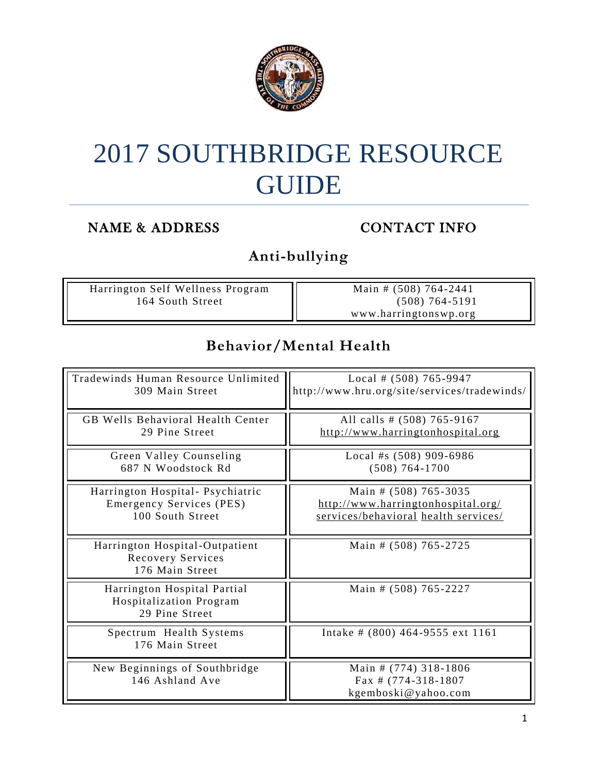

# 2017 SOUTHBRIDGE RESOURCE GUIDE

#### NAME & ADDRESS CONTACT INFO

**Anti-bullying** 

| Harrington Self Wellness Program | Main # $(508)$ 764-2441 |
|----------------------------------|-------------------------|
| 164 South Street                 | $(508) 764 - 5191$      |
|                                  | www.harringtonswp.org   |

#### **Behavior/Mental Health**

| Tradewinds Human Resource Unlimited                                      | Local # $(508)$ 765-9947                                               |
|--------------------------------------------------------------------------|------------------------------------------------------------------------|
| 309 Main Street                                                          | http://www.hru.org/site/services/tradewinds/                           |
| GB Wells Behavioral Health Center                                        | All calls # (508) 765-9167                                             |
| 29 Pine Street                                                           | http://www.harringtonhospital.org                                      |
| Green Valley Counseling                                                  | Local #s $(508)$ 909-6986                                              |
| 687 N Woodstock Rd                                                       | $(508) 764 - 1700$                                                     |
| Harrington Hospital- Psychiatric                                         | Main # (508) 765-3035                                                  |
| Emergency Services (PES)                                                 | http://www.harringtonhospital.org/                                     |
| 100 South Street                                                         | services/behavioral health services/                                   |
| Harrington Hospital-Outpatient<br>Recovery Services<br>176 Main Street   | Main # (508) 765-2725                                                  |
| Harrington Hospital Partial<br>Hospitalization Program<br>29 Pine Street | Main # (508) 765-2227                                                  |
| Spectrum Health Systems<br>176 Main Street                               | Intake # $(800)$ 464-9555 ext 1161                                     |
| New Beginnings of Southbridge<br>146 Ashland Ave                         | Main # (774) 318-1806<br>Fax # $(774-318-1807)$<br>kgemboski@yahoo.com |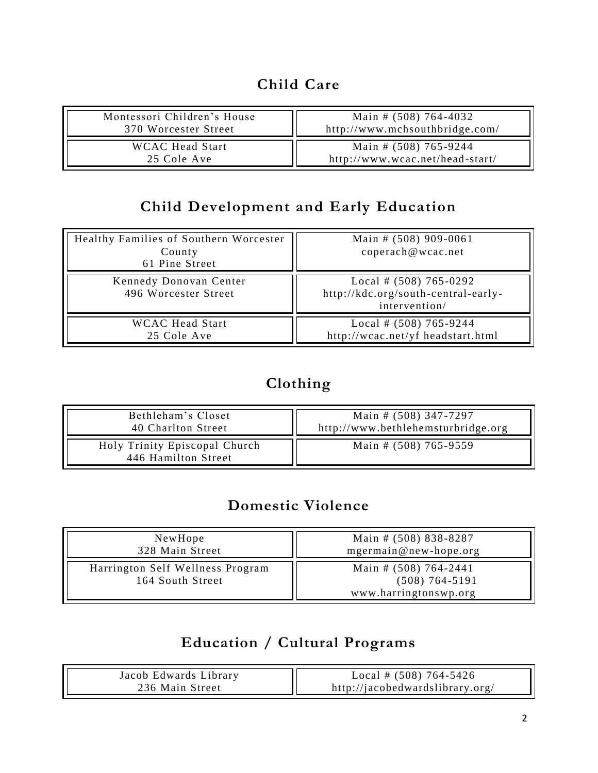#### **Child Care**

| Montessori Children's House | Main # $(508)$ 764-4032         |
|-----------------------------|---------------------------------|
| 370 Worcester Street        | http://www.mchsouthbridge.com/  |
| <b>WCAC Head Start</b>      | Main # (508) 765-9244           |
| 25 Cole Ave                 | http://www.wcac.net/head-start/ |

# **Child Development and Early Education**

| Healthy Families of Southern Worcester<br>County<br>61 Pine Street | Main # $(508)$ 909-0061<br>coperach@wcac.net                                     |
|--------------------------------------------------------------------|----------------------------------------------------------------------------------|
| Kennedy Donovan Center<br>496 Worcester Street                     | Local # $(508)$ 765-0292<br>http://kdc.org/south-central-early-<br>intervention/ |
| <b>WCAC</b> Head Start<br>25 Cole Ave                              | Local # $(508)$ 765-9244<br>http://wcac.net/yf headstart.html                    |

# **Clothing**

| Bethleham's Closet                                   | Main # (508) 347-7297              |
|------------------------------------------------------|------------------------------------|
| 40 Charlton Street                                   | http://www.bethlehemsturbridge.org |
| Holy Trinity Episcopal Church<br>446 Hamilton Street | Main # (508) 765-9559              |

#### **Domestic Violence**

| NewHope                                              | Main # (508) 838-8287                                                  |
|------------------------------------------------------|------------------------------------------------------------------------|
| 328 Main Street                                      | mgermain@new-hope.org                                                  |
| Harrington Self Wellness Program<br>164 South Street | Main # $(508)$ 764-2441<br>$(508) 764 - 5191$<br>www.harringtonswp.org |

#### **Education / Cultural Programs**

| Jacob Edwards Library | Local # $(508)$ 764-5426        |
|-----------------------|---------------------------------|
| 236 Main Street       | http://jacobedwardslibrary.org/ |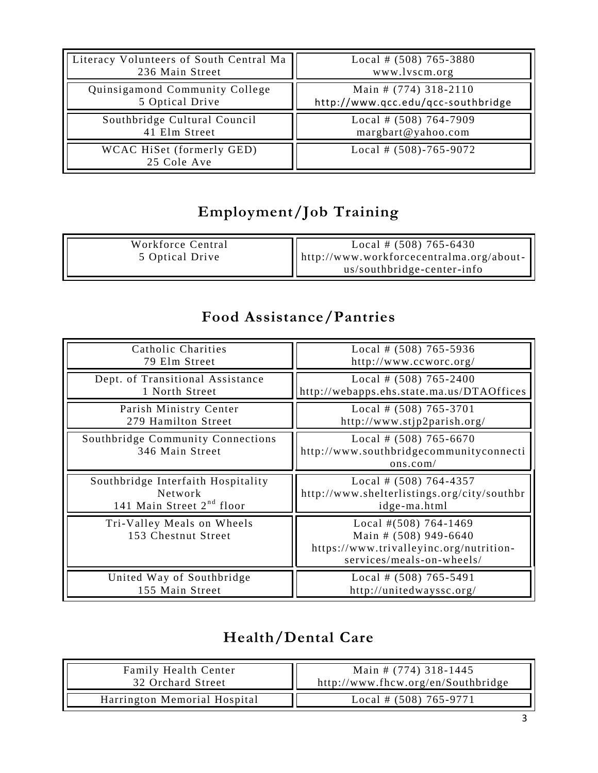| Literacy Volunteers of South Central Ma | Local # $(508)$ 765-3880           |
|-----------------------------------------|------------------------------------|
| 236 Main Street                         | www.lvscm.org                      |
| Quinsigamond Community College          | Main # (774) 318-2110              |
| 5 Optical Drive                         | http://www.qcc.edu/qcc-southbridge |
|                                         |                                    |
| Southbridge Cultural Council            | Local # $(508)$ 764-7909           |
| 41 Elm Street                           | margbart@yahoo.com                 |

# **Employment/Job Training**

| Workforce Central | Local # $(508)$ 765-6430                         |
|-------------------|--------------------------------------------------|
| 5 Optical Drive   | $\vert$ http://www.workforcecentralma.org/about- |
|                   | us/southbridge-center-info                       |

#### **Food Assistance/Pantries**

| Catholic Charities<br>79 Elm Street                                                    | Local # $(508)$ 765-5936<br>http://www.ccworc.org/                                                                        |
|----------------------------------------------------------------------------------------|---------------------------------------------------------------------------------------------------------------------------|
| Dept. of Transitional Assistance<br>1 North Street                                     | Local # $(508)$ 765-2400<br>http://webapps.ehs.state.ma.us/DTAOffices                                                     |
| Parish Ministry Center<br>279 Hamilton Street                                          | Local # $(508)$ 765-3701<br>http://www.stjp2parish.org/                                                                   |
| Southbridge Community Connections<br>346 Main Street                                   | Local # $(508)$ 765-6670<br>http://www.southbridgecommunityconnecti<br>ons.com/                                           |
| Southbridge Interfaith Hospitality<br>Network<br>141 Main Street 2 <sup>nd</sup> floor | Local # $(508)$ 764-4357<br>http://www.shelterlistings.org/city/southbr                                                   |
|                                                                                        | idge-ma.html                                                                                                              |
| Tri-Valley Meals on Wheels<br>153 Chestnut Street                                      | Local # $(508)$ 764-1469<br>Main # (508) 949-6640<br>https://www.trivalleyinc.org/nutrition-<br>services/meals-on-wheels/ |

# **Health/Dental Care**

| <b>Family Health Center</b>  | Main # $(774)$ 318-1445            |
|------------------------------|------------------------------------|
| 32 Orchard Street            | http://www.fhcw.org/en/Southbridge |
| Harrington Memorial Hospital | Local # $(508)$ 765-9771           |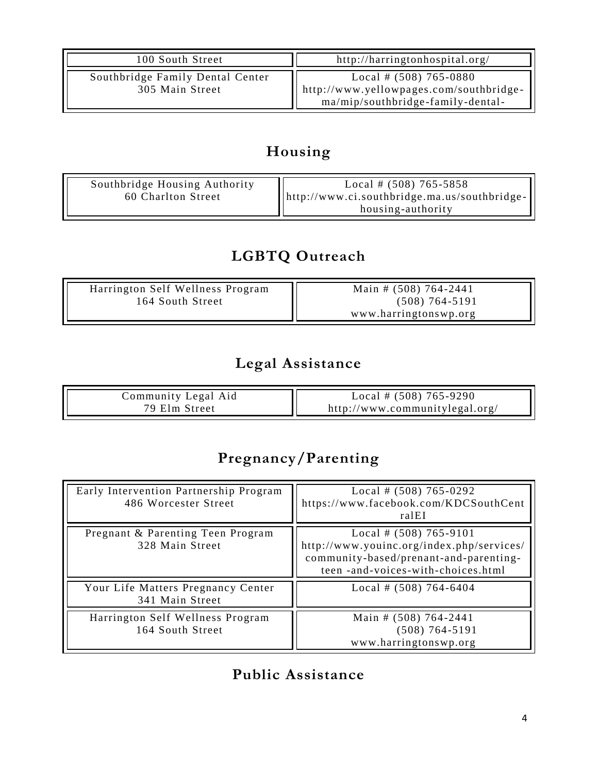| 100 South Street                                    | http://harringtonhospital.org/                                                                           |
|-----------------------------------------------------|----------------------------------------------------------------------------------------------------------|
| Southbridge Family Dental Center<br>305 Main Street | Local # $(508)$ 765-0880<br>http://www.yellowpages.com/southbridge-<br>ma/mip/southbridge-family-dental- |

# **Housing**

| Southbridge Housing Authority<br>60 Charlton Street | Local # $(508)$ 765-5858<br>$\left[$  http://www.ci.southbridge.ma.us/southbridge- $\left[$<br>housing-authority |
|-----------------------------------------------------|------------------------------------------------------------------------------------------------------------------|
|-----------------------------------------------------|------------------------------------------------------------------------------------------------------------------|

# **LGBTQ Outreach**

| Harrington Self Wellness Program | Main # $(508)$ 764-2441 |
|----------------------------------|-------------------------|
| 164 South Street                 | $(508) 764 - 5191$      |
|                                  | www.harringtonswp.org   |

# **Legal Assistance**

| Community Legal Aid | Local # $(508)$ 765-9290       |
|---------------------|--------------------------------|
| 79 Elm Street       | http://www.communitvlegal.org/ |

# **Pregnancy/Parenting**

| Early Intervention Partnership Program<br>486 Worcester Street | Local # $(508)$ 765-0292<br>https://www.facebook.com/KDCSouthCent<br>ralEI                                                                            |
|----------------------------------------------------------------|-------------------------------------------------------------------------------------------------------------------------------------------------------|
| Pregnant & Parenting Teen Program<br>328 Main Street           | Local # $(508)$ 765-9101<br>http://www.youinc.org/index.php/services/<br>community-based/prenant-and-parenting-<br>teen -and-voices-with-choices.html |
| Your Life Matters Pregnancy Center<br>341 Main Street          | Local # $(508)$ 764-6404                                                                                                                              |
| Harrington Self Wellness Program<br>164 South Street           | Main # $(508)$ 764-2441<br>$(508) 764 - 5191$<br>www.harringtonswp.org                                                                                |

# **Public Assistance**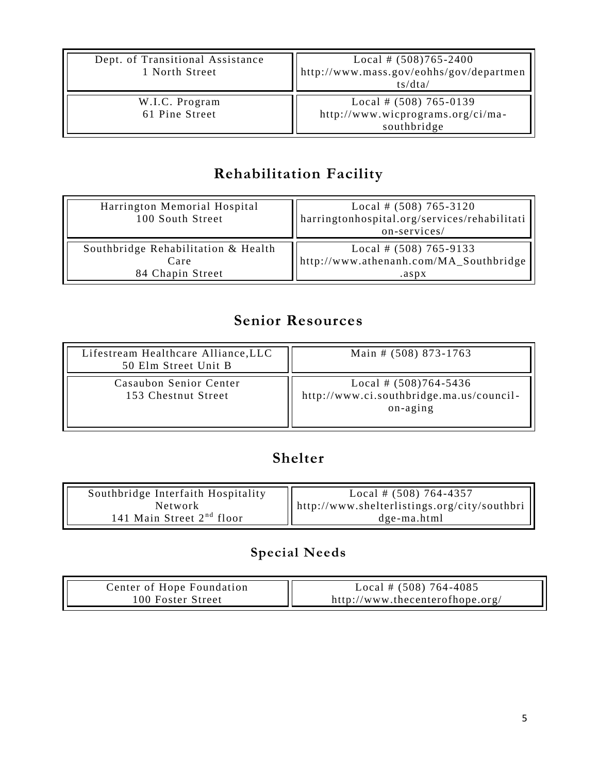| Dept. of Transitional Assistance<br>1 North Street | Local # $(508)765 - 2400$<br>http://www.mass.gov/eohhs/gov/departmen<br>ts/dta/ |
|----------------------------------------------------|---------------------------------------------------------------------------------|
| W.I.C. Program<br>61 Pine Street                   | Local # $(508)$ 765-0139<br>http://www.wicprograms.org/ci/ma-<br>southbridge    |

# **Rehabilitation Facility**

| Harrington Memorial Hospital<br>100 South Street | Local # $(508)$ 765-3120<br>harringtonhospital.org/services/rehabilitati<br>on-services/ |
|--------------------------------------------------|------------------------------------------------------------------------------------------|
| Southbridge Rehabilitation & Health              | Local # $(508)$ 765-9133                                                                 |
| Care                                             | http://www.athenanh.com/MA_Southbridge                                                   |
| 84 Chapin Street                                 | .aspx                                                                                    |

# **Senior Resources**

| Lifestream Healthcare Alliance, LLC<br>50 Elm Street Unit B | Main # (508) 873-1763                                                             |
|-------------------------------------------------------------|-----------------------------------------------------------------------------------|
| Casaubon Senior Center<br>153 Chestnut Street               | Local # $(508)764 - 5436$<br>http://www.ci.southbridge.ma.us/council-<br>on-aging |

#### **Shelter**

| Southbridge Interfaith Hospitality | Local # $(508)$ 764-4357                               |
|------------------------------------|--------------------------------------------------------|
| Network                            | $\ $ http://www.shelterlistings.org/city/southbri $\ $ |
| 141 Main Street $2nd$ floor        | dge-ma.html                                            |

# **Special Needs**

| Center of Hope Foundation | Local # $(508)$ 764-4085        |
|---------------------------|---------------------------------|
| 100 Foster Street         | http://www.thecenterofhope.org/ |